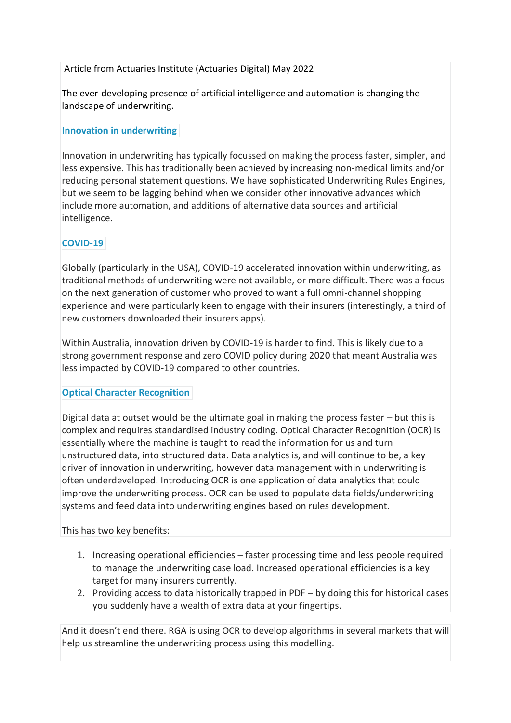## Article from Actuaries Institute (Actuaries Digital) May 2022

The ever-developing presence of artificial intelligence and automation is changing the landscape of underwriting.

### **Innovation in underwriting**

Innovation in underwriting has typically focussed on making the process faster, simpler, and less expensive. This has traditionally been achieved by increasing non-medical limits and/or reducing personal statement questions. We have sophisticated Underwriting Rules Engines, but we seem to be lagging behind when we consider other innovative advances which include more automation, and additions of alternative data sources and artificial intelligence.

# **COVID-19**

Globally (particularly in the USA), COVID-19 accelerated innovation within underwriting, as traditional methods of underwriting were not available, or more difficult. There was a focus on the next generation of customer who proved to want a full omni-channel shopping experience and were particularly keen to engage with their insurers (interestingly, a third of new customers downloaded their insurers apps).

Within Australia, innovation driven by COVID-19 is harder to find. This is likely due to a strong government response and zero COVID policy during 2020 that meant Australia was less impacted by COVID-19 compared to other countries.

### **Optical Character Recognition**

Digital data at outset would be the ultimate goal in making the process faster – but this is complex and requires standardised industry coding. Optical Character Recognition (OCR) is essentially where the machine is taught to read the information for us and turn unstructured data, into structured data. Data analytics is, and will continue to be, a key driver of innovation in underwriting, however data management within underwriting is often underdeveloped. Introducing OCR is one application of data analytics that could improve the underwriting process. OCR can be used to populate data fields/underwriting systems and feed data into underwriting engines based on rules development.

This has two key benefits:

- 1. Increasing operational efficiencies faster processing time and less people required to manage the underwriting case load. Increased operational efficiencies is a key target for many insurers currently.
- 2. Providing access to data historically trapped in PDF by doing this for historical cases you suddenly have a wealth of extra data at your fingertips.

And it doesn't end there. RGA is using OCR to develop algorithms in several markets that will help us streamline the underwriting process using this modelling.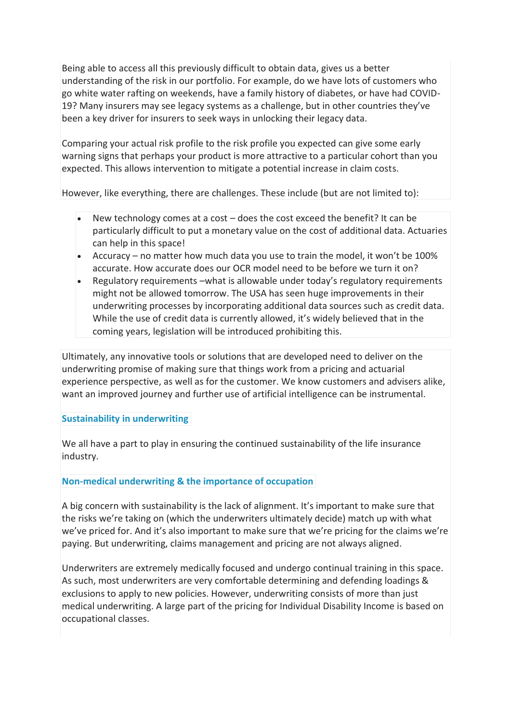Being able to access all this previously difficult to obtain data, gives us a better understanding of the risk in our portfolio. For example, do we have lots of customers who go white water rafting on weekends, have a family history of diabetes, or have had COVID-19? Many insurers may see legacy systems as a challenge, but in other countries they've been a key driver for insurers to seek ways in unlocking their legacy data.

Comparing your actual risk profile to the risk profile you expected can give some early warning signs that perhaps your product is more attractive to a particular cohort than you expected. This allows intervention to mitigate a potential increase in claim costs.

However, like everything, there are challenges. These include (but are not limited to):

- New technology comes at a cost does the cost exceed the benefit? It can be particularly difficult to put a monetary value on the cost of additional data. Actuaries can help in this space!
- Accuracy no matter how much data you use to train the model, it won't be 100% accurate. How accurate does our OCR model need to be before we turn it on?
- Regulatory requirements –what is allowable under today's regulatory requirements might not be allowed tomorrow. The USA has seen huge improvements in their underwriting processes by incorporating additional data sources such as credit data. While the use of credit data is currently allowed, it's widely believed that in the coming years, legislation will be introduced prohibiting this.

Ultimately, any innovative tools or solutions that are developed need to deliver on the underwriting promise of making sure that things work from a pricing and actuarial experience perspective, as well as for the customer. We know customers and advisers alike, want an improved journey and further use of artificial intelligence can be instrumental.

### **Sustainability in underwriting**

We all have a part to play in ensuring the continued sustainability of the life insurance industry.

### **Non-medical underwriting & the importance of occupation**

A big concern with sustainability is the lack of alignment. It's important to make sure that the risks we're taking on (which the underwriters ultimately decide) match up with what we've priced for. And it's also important to make sure that we're pricing for the claims we're paying. But underwriting, claims management and pricing are not always aligned.

Underwriters are extremely medically focused and undergo continual training in this space. As such, most underwriters are very comfortable determining and defending loadings & exclusions to apply to new policies. However, underwriting consists of more than just medical underwriting. A large part of the pricing for Individual Disability Income is based on occupational classes.